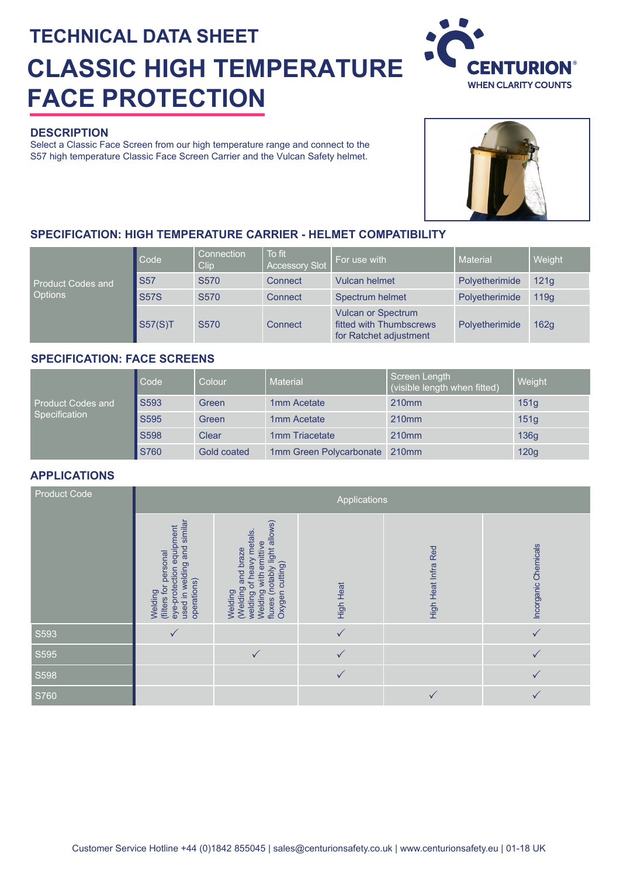# **TECHNICAL DATA SHEET CLASSIC HIGH TEMPERATURE FACE PROTECTION**

## **DESCRIPTION**

Select a Classic Face Screen from our high temperature range and connect to the S57 high temperature Classic Face Screen Carrier and the Vulcan Safety helmet.



## **SPECIFICATION: HIGH TEMPERATURE CARRIER - HELMET COMPATIBILITY**

|                                            | Code        | Connection<br>Clip. | To fit<br><b>Accessory Slot</b> | For use with                                                                   | <b>Material</b> | Weight |
|--------------------------------------------|-------------|---------------------|---------------------------------|--------------------------------------------------------------------------------|-----------------|--------|
| <b>Product Codes and</b><br><b>Options</b> | <b>S57</b>  | S <sub>570</sub>    | Connect                         | <b>Vulcan helmet</b>                                                           | Polyetherimide  | 121q   |
|                                            | <b>S57S</b> | S <sub>570</sub>    | Connect                         | Spectrum helmet                                                                | Polyetherimide  | 119a   |
|                                            | S57(S)T     | S <sub>570</sub>    | Connect                         | <b>Vulcan or Spectrum</b><br>fitted with Thumbscrews<br>for Ratchet adjustment | Polyetherimide  | 162g   |

#### **SPECIFICATION: FACE SCREENS**

| Product Codes and<br>Specification | Code        | Colour      | <b>Material</b>         | Screen Length<br>(visible length when fitted) | Weight |
|------------------------------------|-------------|-------------|-------------------------|-----------------------------------------------|--------|
|                                    | S593        | Green       | 1mm Acetate             | 210 <sub>mm</sub>                             | 151q   |
|                                    | S595        | Green       | 1mm Acetate             | 210 <sub>mm</sub>                             | 151q   |
|                                    | <b>S598</b> | Clear       | 1mm Triacetate          | 210 <sub>mm</sub>                             | 136q   |
|                                    | S760        | Gold coated | 1mm Green Polycarbonate | 210 <sub>mm</sub>                             | 120g   |

## **APPLICATIONS**

| <b>Product Code</b> | Applications                                                                                               |                                                                                                                                       |                  |                     |                      |  |  |  |  |  |  |
|---------------------|------------------------------------------------------------------------------------------------------------|---------------------------------------------------------------------------------------------------------------------------------------|------------------|---------------------|----------------------|--|--|--|--|--|--|
|                     | eye-protection equipment<br>used in welding and similar<br>(filters for personal<br>operations)<br>Welding | fluxes (notably light allows)<br>Oxygen cutting)<br>welding of heavy metals<br>Welding with emittive<br>Welding<br>(Welding and braze | <b>High Heat</b> | High Heat Infra Red | Incorganic Chemicals |  |  |  |  |  |  |
| S593                |                                                                                                            |                                                                                                                                       |                  |                     |                      |  |  |  |  |  |  |
| S595                |                                                                                                            |                                                                                                                                       |                  |                     |                      |  |  |  |  |  |  |
| S598                |                                                                                                            |                                                                                                                                       |                  |                     |                      |  |  |  |  |  |  |
| S760                |                                                                                                            |                                                                                                                                       |                  |                     |                      |  |  |  |  |  |  |